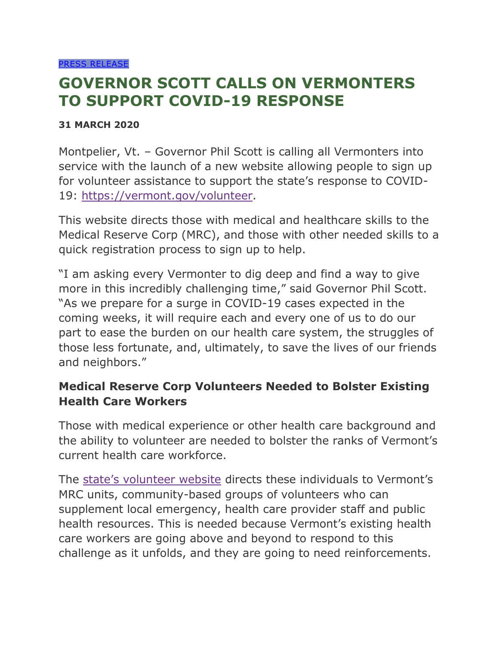## **GOVERNOR SCOTT CALLS ON VERMONTERS TO SUPPORT COVID-19 RESPONSE**

## **31 MARCH 2020**

Montpelier, Vt. – Governor Phil Scott is calling all Vermonters into service with the launch of a new website allowing people to sign up for volunteer assistance to support the state's response to COVID-19: [https://vermont.gov/volunteer.](https://vermont.gov/volunteer)

This website directs those with medical and healthcare skills to the Medical Reserve Corp (MRC), and those with other needed skills to a quick registration process to sign up to help.

"I am asking every Vermonter to dig deep and find a way to give more in this incredibly challenging time," said Governor Phil Scott. "As we prepare for a surge in COVID-19 cases expected in the coming weeks, it will require each and every one of us to do our part to ease the burden on our health care system, the struggles of those less fortunate, and, ultimately, to save the lives of our friends and neighbors."

## **Medical Reserve Corp Volunteers Needed to Bolster Existing Health Care Workers**

Those with medical experience or other health care background and the ability to volunteer are needed to bolster the ranks of Vermont's current health care workforce.

The [state's volunteer website](https://www.vermont.gov/volunteer) directs these individuals to Vermont's MRC units, community-based groups of volunteers who can supplement local emergency, health care provider staff and public health resources. This is needed because Vermont's existing health care workers are going above and beyond to respond to this challenge as it unfolds, and they are going to need reinforcements.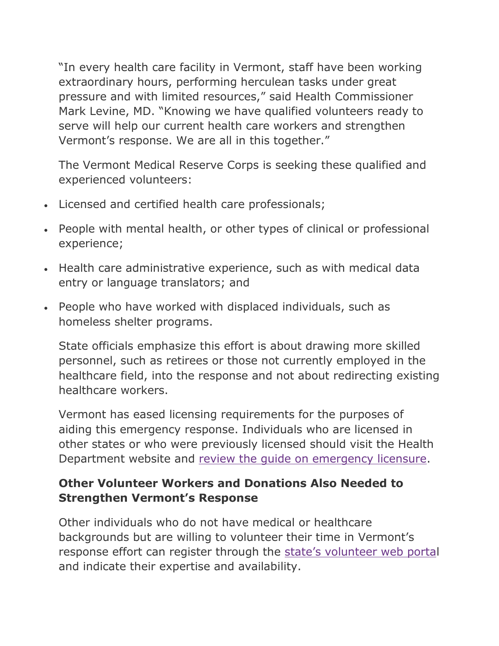"In every health care facility in Vermont, staff have been working extraordinary hours, performing herculean tasks under great pressure and with limited resources," said Health Commissioner Mark Levine, MD. "Knowing we have qualified volunteers ready to serve will help our current health care workers and strengthen Vermont's response. We are all in this together."

The Vermont Medical Reserve Corps is seeking these qualified and experienced volunteers:

- Licensed and certified health care professionals;
- People with mental health, or other types of clinical or professional experience;
- Health care administrative experience, such as with medical data entry or language translators; and
- People who have worked with displaced individuals, such as homeless shelter programs.

State officials emphasize this effort is about drawing more skilled personnel, such as retirees or those not currently employed in the healthcare field, into the response and not about redirecting existing healthcare workers.

Vermont has eased licensing requirements for the purposes of aiding this emergency response. Individuals who are licensed in other states or who were previously licensed should visit the Health Department website and [review the guide on emergency licensure.](https://www.healthvermont.gov/health-professionals-systems/board-medical-practice/COVID19)

## **Other Volunteer Workers and Donations Also Needed to Strengthen Vermont's Response**

Other individuals who do not have medical or healthcare backgrounds but are willing to volunteer their time in Vermont's response effort can register through the [state's volunteer web porta](https://www.vermont.gov/volunteer)l and indicate their expertise and availability.